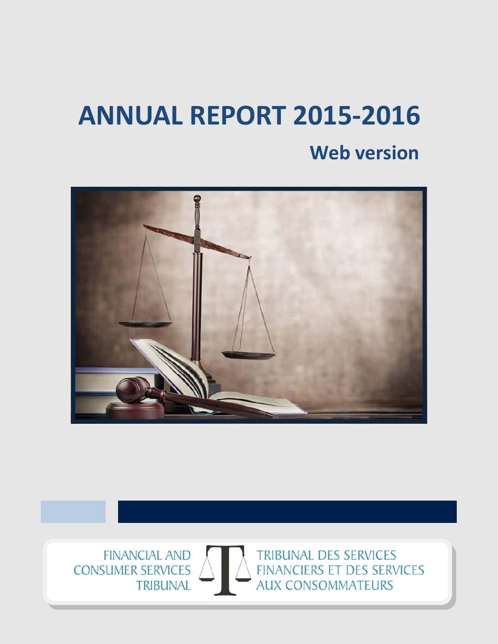# **ANNUAL REPORT 2015‐2016 Web version**



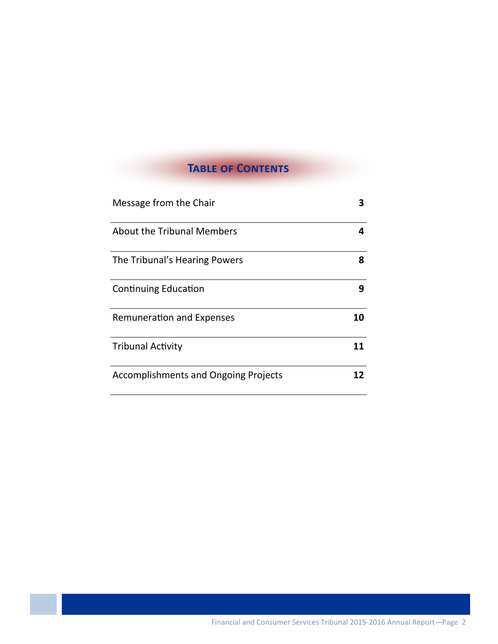# **TABLE OF CONTENTS**

| Message from the Chair                      |    |
|---------------------------------------------|----|
| About the Tribunal Members                  | 4  |
| The Tribunal's Hearing Powers               | 8  |
| <b>Continuing Education</b>                 | 9  |
| <b>Remuneration and Expenses</b>            | 10 |
| <b>Tribunal Activity</b>                    | 11 |
| <b>Accomplishments and Ongoing Projects</b> | 12 |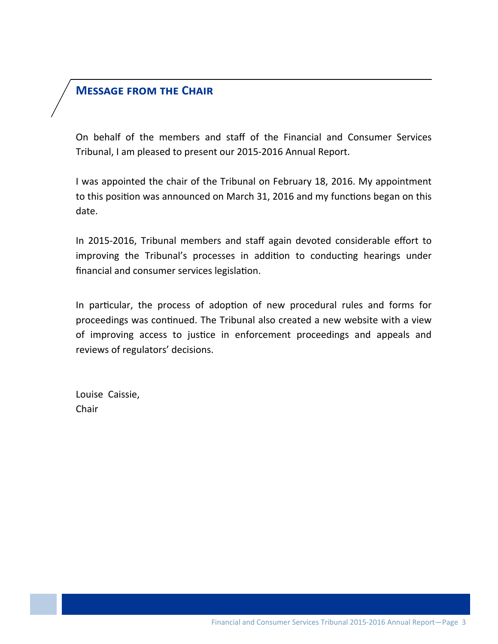# **MESSAGE FROM THE CHAIR**

On behalf of the members and staff of the Financial and Consumer Services Tribunal, I am pleased to present our 2015‐2016 Annual Report.

I was appointed the chair of the Tribunal on February 18, 2016. My appointment to this position was announced on March 31, 2016 and my functions began on this date.

In 2015-2016, Tribunal members and staff again devoted considerable effort to improving the Tribunal's processes in addition to conducting hearings under financial and consumer services legislation.

In particular, the process of adoption of new procedural rules and forms for proceedings was continued. The Tribunal also created a new website with a view of improving access to justice in enforcement proceedings and appeals and reviews of regulators' decisions.

Louise Caissie, Chair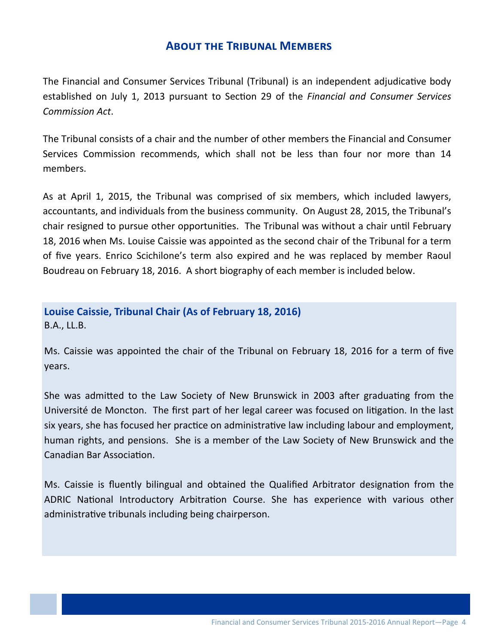#### **ABOUT THE TRIBUNAL MEMBERS**

The Financial and Consumer Services Tribunal (Tribunal) is an independent adjudicative body established on July 1, 2013 pursuant to SecƟon 29 of the *Financial and Consumer Services Commission Act*.

The Tribunal consists of a chair and the number of other members the Financial and Consumer Services Commission recommends, which shall not be less than four nor more than 14 members.

As at April 1, 2015, the Tribunal was comprised of six members, which included lawyers, accountants, and individuals from the business community. On August 28, 2015, the Tribunal's chair resigned to pursue other opportunities. The Tribunal was without a chair until February 18, 2016 when Ms. Louise Caissie was appointed as the second chair of the Tribunal for a term of five years. Enrico Scichilone's term also expired and he was replaced by member Raoul Boudreau on February 18, 2016. A short biography of each member is included below.

### **Louise Caissie, Tribunal Chair (As of February 18, 2016)** B.A., LL.B.

Ms. Caissie was appointed the chair of the Tribunal on February 18, 2016 for a term of five years.

She was admitted to the Law Society of New Brunswick in 2003 after graduating from the Université de Moncton. The first part of her legal career was focused on litigation. In the last six years, she has focused her practice on administrative law including labour and employment, human rights, and pensions. She is a member of the Law Society of New Brunswick and the Canadian Bar Association.

Ms. Caissie is fluently bilingual and obtained the Qualified Arbitrator designation from the ADRIC National Introductory Arbitration Course. She has experience with various other administrative tribunals including being chairperson.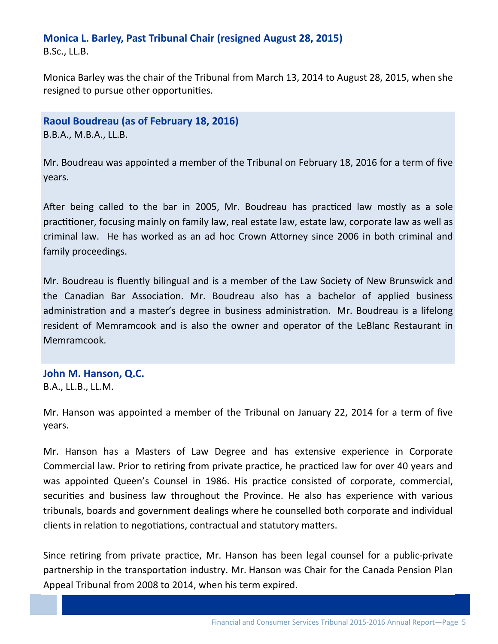# **Monica L. Barley, Past Tribunal Chair (resigned August 28, 2015)**

B.Sc., LL.B.

Monica Barley was the chair of the Tribunal from March 13, 2014 to August 28, 2015, when she resigned to pursue other opportunities.

**Raoul Boudreau (as of February 18, 2016)** B.B.A., M.B.A., LL.B.

Mr. Boudreau was appointed a member of the Tribunal on February 18, 2016 for a term of five years.

After being called to the bar in 2005, Mr. Boudreau has practiced law mostly as a sole practitioner, focusing mainly on family law, real estate law, estate law, corporate law as well as criminal law. He has worked as an ad hoc Crown Attorney since 2006 in both criminal and family proceedings.

Mr. Boudreau is fluently bilingual and is a member of the Law Society of New Brunswick and the Canadian Bar Association. Mr. Boudreau also has a bachelor of applied business administration and a master's degree in business administration. Mr. Boudreau is a lifelong resident of Memramcook and is also the owner and operator of the LeBlanc Restaurant in Memramcook.

**John M. Hanson, Q.C.** B.A., LL.B., LL.M.

Mr. Hanson was appointed a member of the Tribunal on January 22, 2014 for a term of five years.

Mr. Hanson has a Masters of Law Degree and has extensive experience in Corporate Commercial law. Prior to retiring from private practice, he practiced law for over 40 years and was appointed Queen's Counsel in 1986. His practice consisted of corporate, commercial, securities and business law throughout the Province. He also has experience with various tribunals, boards and government dealings where he counselled both corporate and individual clients in relation to negotiations, contractual and statutory matters.

partnership in the transportation industry. Mr. Hanson wa<br>Appeal Tribunal from 2008 to 2014, when his term expired. Since retiring from private practice, Mr. Hanson has been legal counsel for a public-private partnership in the transportation industry. Mr. Hanson was Chair for the Canada Pension Plan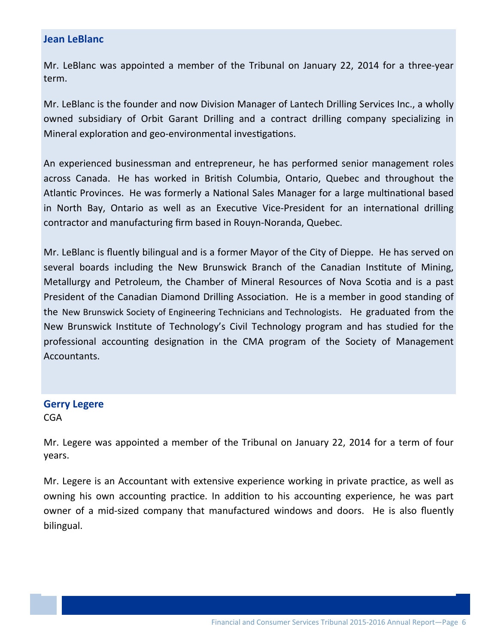#### **Jean LeBlanc**

Mr. LeBlanc was appointed a member of the Tribunal on January 22, 2014 for a three‐year term.

Mr. LeBlanc is the founder and now Division Manager of Lantech Drilling Services Inc., a wholly owned subsidiary of Orbit Garant Drilling and a contract drilling company specializing in Mineral exploration and geo-environmental investigations.

An experienced businessman and entrepreneur, he has performed senior management roles across Canada. He has worked in British Columbia, Ontario, Quebec and throughout the Atlantic Provinces. He was formerly a National Sales Manager for a large multinational based in North Bay, Ontario as well as an Executive Vice-President for an international drilling contractor and manufacturing firm based in Rouyn‐Noranda, Quebec.

Mr. LeBlanc is fluently bilingual and is a former Mayor of the City of Dieppe. He has served on several boards including the New Brunswick Branch of the Canadian Institute of Mining, Metallurgy and Petroleum, the Chamber of Mineral Resources of Nova Scotia and is a past President of the Canadian Diamond Drilling Association. He is a member in good standing of the New Brunswick Society of Engineering Technicians and Technologists. He graduated from the New Brunswick Institute of Technology's Civil Technology program and has studied for the professional accounting designation in the CMA program of the Society of Management Accountants.

#### **Gerry Legere**

CGA

Mr. Legere was appointed a member of the Tribunal on January 22, 2014 for a term of four years.

Mr. Legere is an Accountant with extensive experience working in private practice, as well as owning his own accounting practice. In addition to his accounting experience, he was part owner of a mid‐sized company that manufactured windows and doors. He is also fluently bilingual.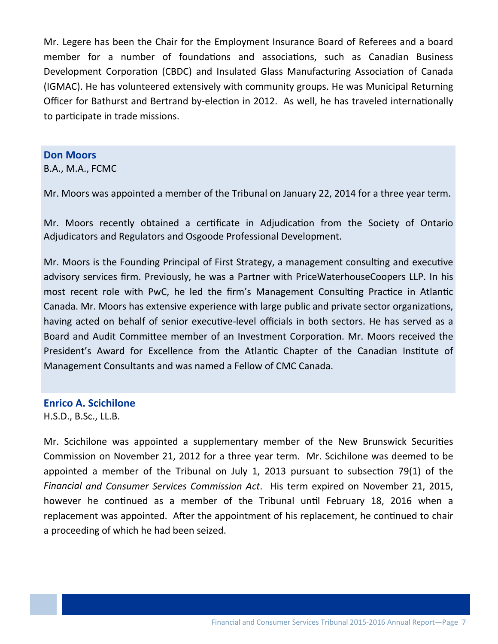Mr. Legere has been the Chair for the Employment Insurance Board of Referees and a board member for a number of foundations and associations, such as Canadian Business Development Corporation (CBDC) and Insulated Glass Manufacturing Association of Canada (IGMAC). He has volunteered extensively with community groups. He was Municipal Returning Officer for Bathurst and Bertrand by-election in 2012. As well, he has traveled internationally to participate in trade missions.

#### **Don Moors**

B.A., M.A., FCMC

Mr. Moors was appointed a member of the Tribunal on January 22, 2014 for a three year term.

Mr. Moors recently obtained a certificate in Adjudication from the Society of Ontario Adjudicators and Regulators and Osgoode Professional Development.

Mr. Moors is the Founding Principal of First Strategy, a management consulting and executive advisory services firm. Previously, he was a Partner with PriceWaterhouseCoopers LLP. In his most recent role with PwC, he led the firm's Management Consulting Practice in Atlantic Canada. Mr. Moors has extensive experience with large public and private sector organizations, having acted on behalf of senior executive-level officials in both sectors. He has served as a Board and Audit Committee member of an Investment Corporation. Mr. Moors received the President's Award for Excellence from the Atlantic Chapter of the Canadian Institute of Management Consultants and was named a Fellow of CMC Canada.

#### **Enrico A. Scichilone**

H.S.D., B.Sc., LL.B.

Mr. Scichilone was appointed a supplementary member of the New Brunswick Securities Commission on November 21, 2012 for a three year term. Mr. Scichilone was deemed to be appointed a member of the Tribunal on July 1, 2013 pursuant to subsection 79(1) of the *Financial and Consumer Services Commission Act*. His term expired on November 21, 2015, however he continued as a member of the Tribunal until February 18, 2016 when a replacement was appointed. After the appointment of his replacement, he continued to chair a proceeding of which he had been seized.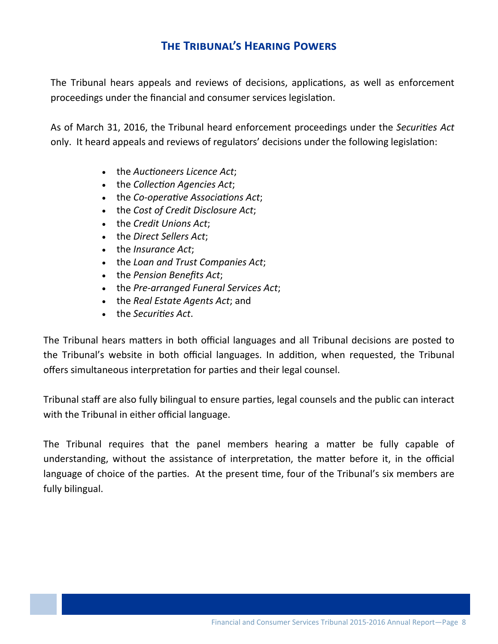# $T$ **HE** TRIBUNAL'S HEARING POWERS

The Tribunal hears appeals and reviews of decisions, applications, as well as enforcement proceedings under the financial and consumer services legislation.

As of March 31, 2016, the Tribunal heard enforcement proceedings under the *Securities Act* only. It heard appeals and reviews of regulators' decisions under the following legislation:

- the *Auctioneers* Licence *Act*;
- the *Collection Agencies Act*;
- the *Co‐operaƟve AssociaƟons Act*;
- the *Cost of Credit Disclosure Act*;
- the *Credit Unions Act*;
- the *Direct Sellers Act*;
- the *Insurance Act*;
- the *Loan and Trust Companies Act*;
- the *Pension Benefits Act*;
- the *Pre‐arranged Funeral Services Act*;
- the *Real Estate Agents Act*; and
- the *Securities Act*.

The Tribunal hears matters in both official languages and all Tribunal decisions are posted to the Tribunal's website in both official languages. In addition, when requested, the Tribunal offers simultaneous interpretation for parties and their legal counsel.

Tribunal staff are also fully bilingual to ensure parties, legal counsels and the public can interact with the Tribunal in either official language.

The Tribunal requires that the panel members hearing a matter be fully capable of understanding, without the assistance of interpretation, the matter before it, in the official language of choice of the parties. At the present time, four of the Tribunal's six members are fully bilingual.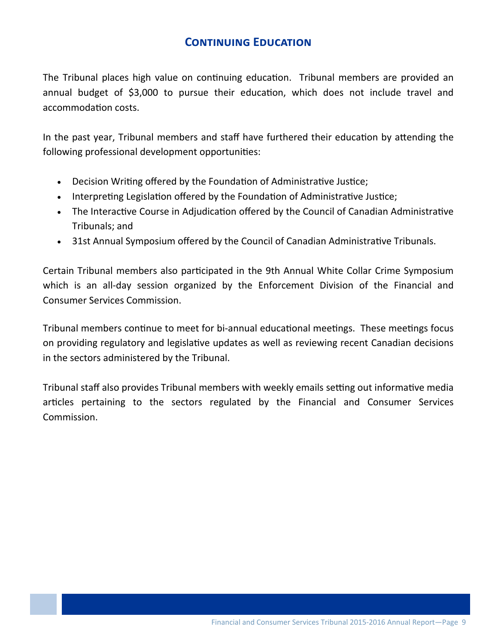# **CONTINUING EDUCATION**

The Tribunal places high value on continuing education. Tribunal members are provided an annual budget of \$3,000 to pursue their education, which does not include travel and accommodation costs.

In the past year, Tribunal members and staff have furthered their education by attending the following professional development opportunities:

- Decision Writing offered by the Foundation of Administrative Justice;
- Interpreting Legislation offered by the Foundation of Administrative Justice;
- The Interactive Course in Adjudication offered by the Council of Canadian Administrative Tribunals; and
- 31st Annual Symposium offered by the Council of Canadian Administrative Tribunals.

Certain Tribunal members also participated in the 9th Annual White Collar Crime Symposium which is an all-day session organized by the Enforcement Division of the Financial and **Consumer Services Commission.** 

Tribunal members continue to meet for bi-annual educational meetings. These meetings focus on providing regulatory and legislative updates as well as reviewing recent Canadian decisions in the sectors administered by the Tribunal.

Tribunal staff also provides Tribunal members with weekly emails setting out informative media articles pertaining to the sectors regulated by the Financial and Consumer Services Commission.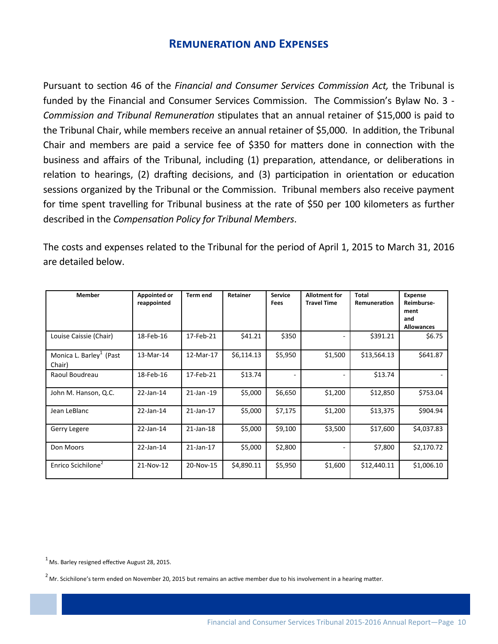#### **REMUNERATION AND EXPENSES**

Pursuant to section 46 of the Financial and Consumer Services Commission Act, the Tribunal is funded by the Financial and Consumer Services Commission. The Commission's Bylaw No. 3 -Commission and Tribunal Remuneration stipulates that an annual retainer of \$15,000 is paid to the Tribunal Chair, while members receive an annual retainer of \$5,000. In addition, the Tribunal Chair and members are paid a service fee of \$350 for matters done in connection with the business and affairs of the Tribunal, including (1) preparation, attendance, or deliberations in relation to hearings, (2) drafting decisions, and (3) participation in orientation or education sessions organized by the Tribunal or the Commission. Tribunal members also receive payment for time spent travelling for Tribunal business at the rate of \$50 per 100 kilometers as further described in the Compensation Policy for Tribunal Members.

The costs and expenses related to the Tribunal for the period of April 1, 2015 to March 31, 2016 are detailed below.

| <b>Member</b>                                 | <b>Appointed or</b><br>reappointed | <b>Term end</b> | Retainer   | <b>Service</b><br><b>Fees</b> | <b>Allotment for</b><br><b>Travel Time</b> | <b>Total</b><br>Remuneration | <b>Expense</b><br>Reimburse-<br>ment<br>and<br><b>Allowances</b> |
|-----------------------------------------------|------------------------------------|-----------------|------------|-------------------------------|--------------------------------------------|------------------------------|------------------------------------------------------------------|
| Louise Caissie (Chair)                        | 18-Feb-16                          | 17-Feb-21       | \$41.21    | \$350                         |                                            | \$391.21                     | \$6.75                                                           |
| Monica L. Barley <sup>1</sup> (Past<br>Chair) | 13-Mar-14                          | 12-Mar-17       | \$6,114.13 | \$5,950                       | \$1,500                                    | \$13,564.13                  | \$641.87                                                         |
| Raoul Boudreau                                | 18-Feb-16                          | 17-Feb-21       | \$13.74    | $\overline{\phantom{a}}$      |                                            | \$13.74                      |                                                                  |
| John M. Hanson, Q.C.                          | 22-Jan-14                          | 21-Jan -19      | \$5,000    | \$6,650                       | \$1,200                                    | \$12,850                     | \$753.04                                                         |
| Jean LeBlanc                                  | 22-Jan-14                          | 21-Jan-17       | \$5,000    | \$7,175                       | \$1,200                                    | \$13,375                     | \$904.94                                                         |
| Gerry Legere                                  | 22-Jan-14                          | $21$ -Jan-18    | \$5,000    | \$9,100                       | \$3,500                                    | \$17,600                     | \$4,037.83                                                       |
| Don Moors                                     | 22-Jan-14                          | 21-Jan-17       | \$5,000    | \$2,800                       |                                            | \$7,800                      | \$2,170.72                                                       |
| Enrico Scichilone <sup>2</sup>                | 21-Nov-12                          | 20-Nov-15       | \$4,890.11 | \$5,950                       | \$1,600                                    | \$12,440.11                  | \$1,006.10                                                       |

 $1$  Ms. Barley resigned effective August 28, 2015.

 $2$  Mr. Scichilone's term ended on November 20, 2015 but remains an active member due to his involvement in a hearing matter.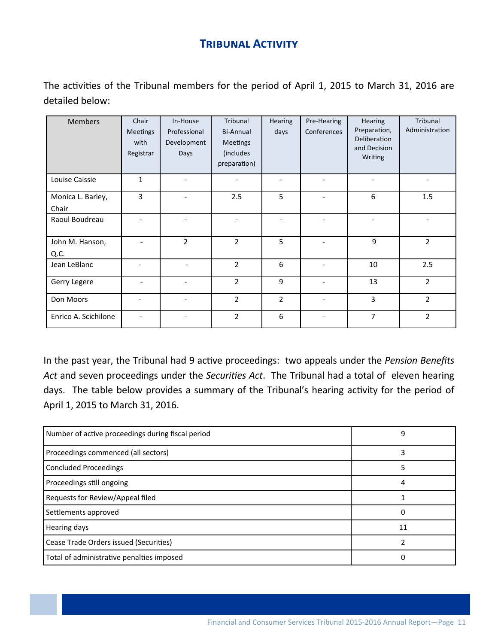# **TRIBUNAL ACTIVITY**

The activities of the Tribunal members for the period of April 1, 2015 to March 31, 2016 are detailed below:

| <b>Members</b>             | Chair<br><b>Meetings</b><br>with<br>Registrar | In-House<br>Professional<br>Development<br>Days | Tribunal<br>Bi-Annual<br>Meetings<br>(includes<br>preparation) | Hearing<br>days | Pre-Hearing<br>Conferences | <b>Hearing</b><br>Preparation,<br>Deliberation<br>and Decision<br>Writing | Tribunal<br>Administration |
|----------------------------|-----------------------------------------------|-------------------------------------------------|----------------------------------------------------------------|-----------------|----------------------------|---------------------------------------------------------------------------|----------------------------|
| Louise Caissie             | $\mathbf{1}$                                  |                                                 |                                                                |                 |                            |                                                                           |                            |
| Monica L. Barley,<br>Chair | 3                                             |                                                 | 2.5                                                            | 5               |                            | 6                                                                         | 1.5                        |
| Raoul Boudreau             |                                               |                                                 |                                                                |                 | $\overline{\phantom{a}}$   |                                                                           |                            |
| John M. Hanson,<br>Q.C.    |                                               | $\overline{2}$                                  | $\overline{2}$                                                 | 5               | $\overline{\phantom{a}}$   | 9                                                                         | $\overline{2}$             |
| Jean LeBlanc               | $\overline{\phantom{0}}$                      |                                                 | $\overline{2}$                                                 | 6               | $\overline{\phantom{a}}$   | 10                                                                        | 2.5                        |
| Gerry Legere               | $\overline{\phantom{0}}$                      |                                                 | $\overline{2}$                                                 | 9               | $\overline{\phantom{a}}$   | 13                                                                        | $\overline{2}$             |
| Don Moors                  | $\overline{\phantom{0}}$                      |                                                 | $\overline{2}$                                                 | $\overline{2}$  | $\overline{\phantom{a}}$   | 3                                                                         | $\overline{2}$             |
| Enrico A. Scichilone       |                                               |                                                 | $\overline{2}$                                                 | 6               |                            | 7                                                                         | $\overline{2}$             |

In the past year, the Tribunal had 9 active proceedings: two appeals under the Pension Benefits Act and seven proceedings under the Securities Act. The Tribunal had a total of eleven hearing days. The table below provides a summary of the Tribunal's hearing activity for the period of April 1, 2015 to March 31, 2016.

| Number of active proceedings during fiscal period | 9  |
|---------------------------------------------------|----|
| Proceedings commenced (all sectors)               |    |
| <b>Concluded Proceedings</b>                      |    |
| Proceedings still ongoing                         |    |
| Requests for Review/Appeal filed                  |    |
| Settlements approved                              |    |
| Hearing days                                      | 11 |
| Cease Trade Orders issued (Securities)            |    |
| Total of administrative penalties imposed         |    |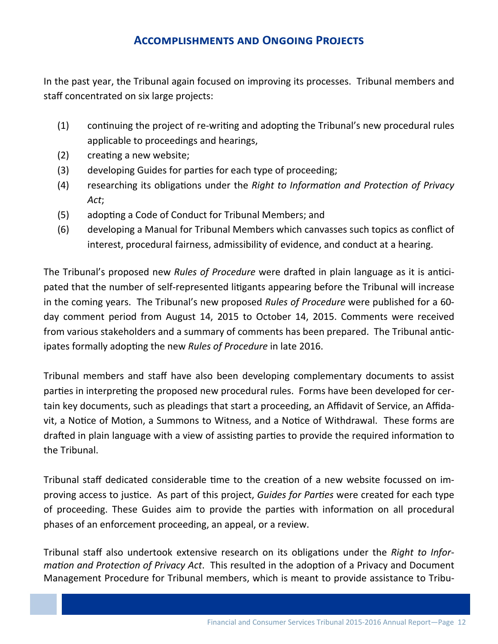## **ACCOMPLISHMENTS AND ONGOING PROJECTS**

In the past year, the Tribunal again focused on improving its processes. Tribunal members and staff concentrated on six large projects:

- $(1)$ continuing the project of re-writing and adopting the Tribunal's new procedural rules applicable to proceedings and hearings,
- $(2)$ creating a new website;
- $(3)$ developing Guides for parties for each type of proceeding;
- $(4)$ researching its obligations under the Right to Information and Protection of Privacy Act;
- $(5)$ adopting a Code of Conduct for Tribunal Members; and
- $(6)$ developing a Manual for Tribunal Members which canvasses such topics as conflict of interest, procedural fairness, admissibility of evidence, and conduct at a hearing.

The Tribunal's proposed new Rules of Procedure were drafted in plain language as it is anticipated that the number of self-represented litigants appearing before the Tribunal will increase in the coming years. The Tribunal's new proposed Rules of Procedure were published for a 60day comment period from August 14, 2015 to October 14, 2015. Comments were received from various stakeholders and a summary of comments has been prepared. The Tribunal anticipates formally adopting the new Rules of Procedure in late 2016.

Tribunal members and staff have also been developing complementary documents to assist parties in interpreting the proposed new procedural rules. Forms have been developed for certain key documents, such as pleadings that start a proceeding, an Affidavit of Service, an Affidavit, a Notice of Motion, a Summons to Witness, and a Notice of Withdrawal. These forms are drafted in plain language with a view of assisting parties to provide the required information to the Tribunal.

Tribunal staff dedicated considerable time to the creation of a new website focussed on improving access to justice. As part of this project, Guides for Parties were created for each type of proceeding. These Guides aim to provide the parties with information on all procedural phases of an enforcement proceeding, an appeal, or a review.

Tribunal staff also undertook extensive research on its obligations under the Right to Information and Protection of Privacy Act. This resulted in the adoption of a Privacy and Document Management Procedure for Tribunal members, which is meant to provide assistance to Tribu